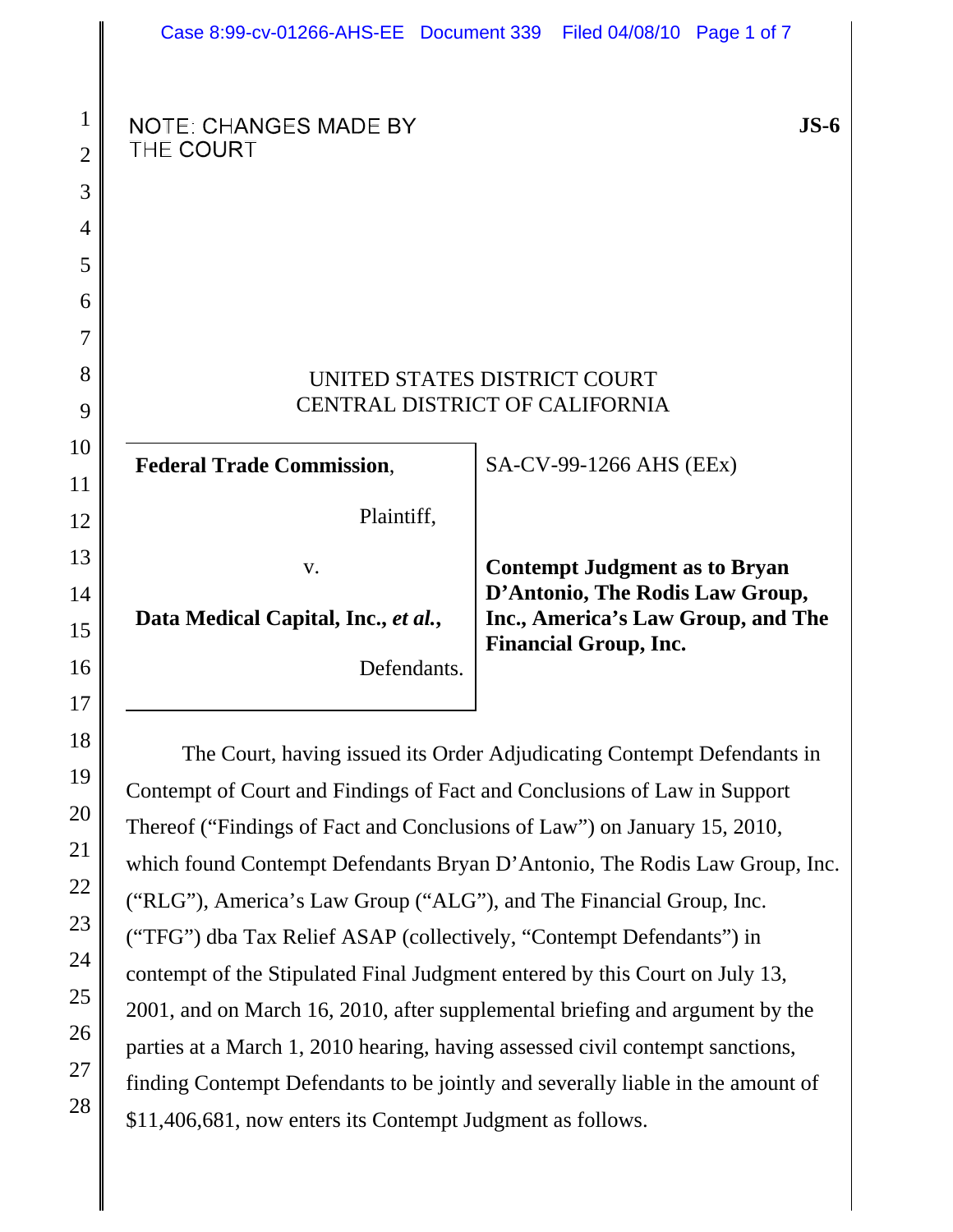|                                                          | Case 8:99-cv-01266-AHS-EE Document 339                                                                                                                                                                                                                                                                                                                                                                                                                                                                                                                                                                                                                                                                      |  | Filed 04/08/10 Page 1 of 7                                                                              |                                    |  |
|----------------------------------------------------------|-------------------------------------------------------------------------------------------------------------------------------------------------------------------------------------------------------------------------------------------------------------------------------------------------------------------------------------------------------------------------------------------------------------------------------------------------------------------------------------------------------------------------------------------------------------------------------------------------------------------------------------------------------------------------------------------------------------|--|---------------------------------------------------------------------------------------------------------|------------------------------------|--|
| $\mathbf{1}$<br>$\overline{2}$<br>3                      | <b>NOTE: CHANGES MADE BY</b><br>THE COURT                                                                                                                                                                                                                                                                                                                                                                                                                                                                                                                                                                                                                                                                   |  |                                                                                                         | JS-6                               |  |
| 4<br>5<br>6                                              |                                                                                                                                                                                                                                                                                                                                                                                                                                                                                                                                                                                                                                                                                                             |  |                                                                                                         |                                    |  |
| 7<br>8<br>9                                              | UNITED STATES DISTRICT COURT<br><b>CENTRAL DISTRICT OF CALIFORNIA</b>                                                                                                                                                                                                                                                                                                                                                                                                                                                                                                                                                                                                                                       |  |                                                                                                         |                                    |  |
| 10<br>11<br>12                                           | <b>Federal Trade Commission,</b><br>Plaintiff,                                                                                                                                                                                                                                                                                                                                                                                                                                                                                                                                                                                                                                                              |  | SA-CV-99-1266 AHS (EEx)                                                                                 |                                    |  |
| 13<br>14<br>15<br>16<br>17                               | V.<br>Data Medical Capital, Inc., et al.,<br>Defendants.                                                                                                                                                                                                                                                                                                                                                                                                                                                                                                                                                                                                                                                    |  | <b>Contempt Judgment as to Bryan</b><br>D'Antonio, The Rodis Law Group,<br><b>Financial Group, Inc.</b> | Inc., America's Law Group, and The |  |
| 18<br>19<br>20<br>21<br>22<br>23<br>24<br>25<br>26<br>27 | The Court, having issued its Order Adjudicating Contempt Defendants in<br>Contempt of Court and Findings of Fact and Conclusions of Law in Support<br>Thereof ("Findings of Fact and Conclusions of Law") on January 15, 2010,<br>which found Contempt Defendants Bryan D'Antonio, The Rodis Law Group, Inc.<br>("RLG"), America's Law Group ("ALG"), and The Financial Group, Inc.<br>("TFG") dba Tax Relief ASAP (collectively, "Contempt Defendants") in<br>contempt of the Stipulated Final Judgment entered by this Court on July 13,<br>2001, and on March 16, 2010, after supplemental briefing and argument by the<br>parties at a March 1, 2010 hearing, having assessed civil contempt sanctions, |  |                                                                                                         |                                    |  |

finding Contempt Defendants to be jointly and severally liable in the amount of \$11,406,681, now enters its Contempt Judgment as follows.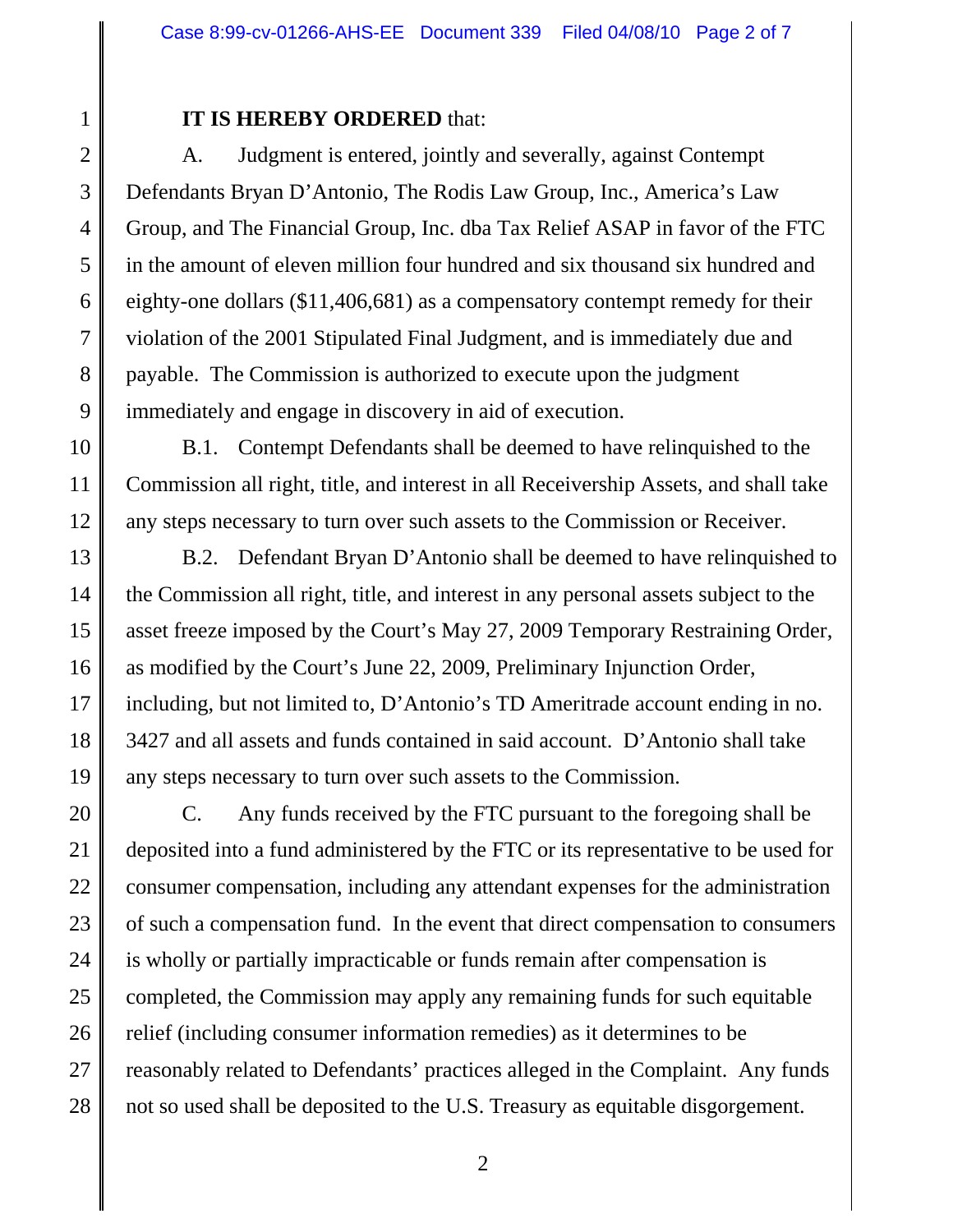2 3

4

5

6

7

8

9

10

11

12

13

14

15

16

17

18

19

1

## **IT IS HEREBY ORDERED** that:

A. Judgment is entered, jointly and severally, against Contempt Defendants Bryan D'Antonio, The Rodis Law Group, Inc., America's Law Group, and The Financial Group, Inc. dba Tax Relief ASAP in favor of the FTC in the amount of eleven million four hundred and six thousand six hundred and eighty-one dollars (\$11,406,681) as a compensatory contempt remedy for their violation of the 2001 Stipulated Final Judgment, and is immediately due and payable. The Commission is authorized to execute upon the judgment immediately and engage in discovery in aid of execution.

B.1. Contempt Defendants shall be deemed to have relinquished to the Commission all right, title, and interest in all Receivership Assets, and shall take any steps necessary to turn over such assets to the Commission or Receiver.

B.2. Defendant Bryan D'Antonio shall be deemed to have relinquished to the Commission all right, title, and interest in any personal assets subject to the asset freeze imposed by the Court's May 27, 2009 Temporary Restraining Order, as modified by the Court's June 22, 2009, Preliminary Injunction Order, including, but not limited to, D'Antonio's TD Ameritrade account ending in no. 3427 and all assets and funds contained in said account. D'Antonio shall take any steps necessary to turn over such assets to the Commission.

20 21 22 23 24 25 26 27 28 C. Any funds received by the FTC pursuant to the foregoing shall be deposited into a fund administered by the FTC or its representative to be used for consumer compensation, including any attendant expenses for the administration of such a compensation fund. In the event that direct compensation to consumers is wholly or partially impracticable or funds remain after compensation is completed, the Commission may apply any remaining funds for such equitable relief (including consumer information remedies) as it determines to be reasonably related to Defendants' practices alleged in the Complaint. Any funds not so used shall be deposited to the U.S. Treasury as equitable disgorgement.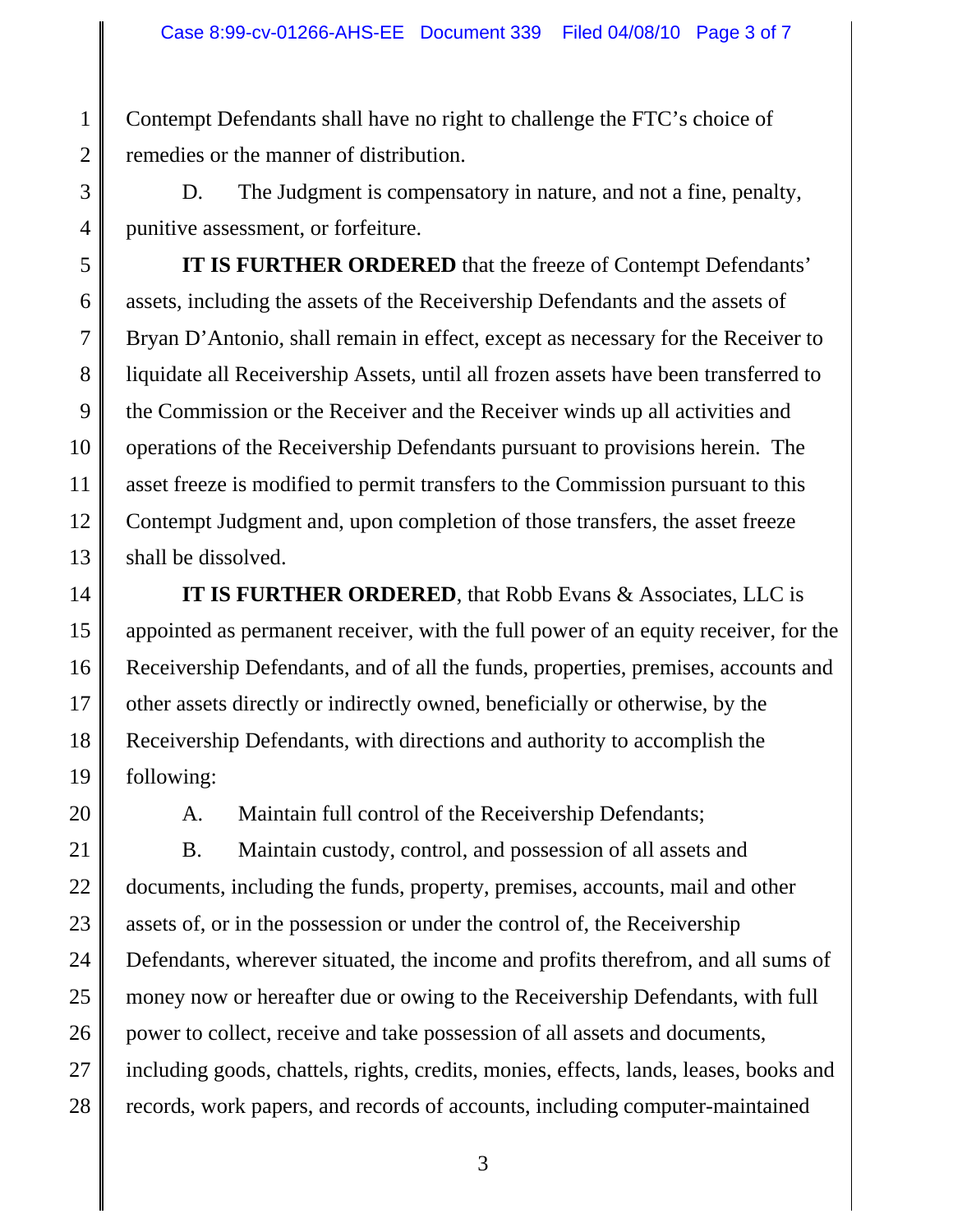Contempt Defendants shall have no right to challenge the FTC's choice of remedies or the manner of distribution.

D. The Judgment is compensatory in nature, and not a fine, penalty, punitive assessment, or forfeiture.

**IT IS FURTHER ORDERED** that the freeze of Contempt Defendants' assets, including the assets of the Receivership Defendants and the assets of Bryan D'Antonio, shall remain in effect, except as necessary for the Receiver to liquidate all Receivership Assets, until all frozen assets have been transferred to the Commission or the Receiver and the Receiver winds up all activities and operations of the Receivership Defendants pursuant to provisions herein. The asset freeze is modified to permit transfers to the Commission pursuant to this Contempt Judgment and, upon completion of those transfers, the asset freeze shall be dissolved.

**IT IS FURTHER ORDERED**, that Robb Evans & Associates, LLC is appointed as permanent receiver, with the full power of an equity receiver, for the Receivership Defendants, and of all the funds, properties, premises, accounts and other assets directly or indirectly owned, beneficially or otherwise, by the Receivership Defendants, with directions and authority to accomplish the following:

20

1

2

3

4

5

6

7

8

9

10

11

12

13

14

15

16

17

18

19

A. Maintain full control of the Receivership Defendants;

21 22 23 24 25 26 27 28 B. Maintain custody, control, and possession of all assets and documents, including the funds, property, premises, accounts, mail and other assets of, or in the possession or under the control of, the Receivership Defendants, wherever situated, the income and profits therefrom, and all sums of money now or hereafter due or owing to the Receivership Defendants, with full power to collect, receive and take possession of all assets and documents, including goods, chattels, rights, credits, monies, effects, lands, leases, books and records, work papers, and records of accounts, including computer-maintained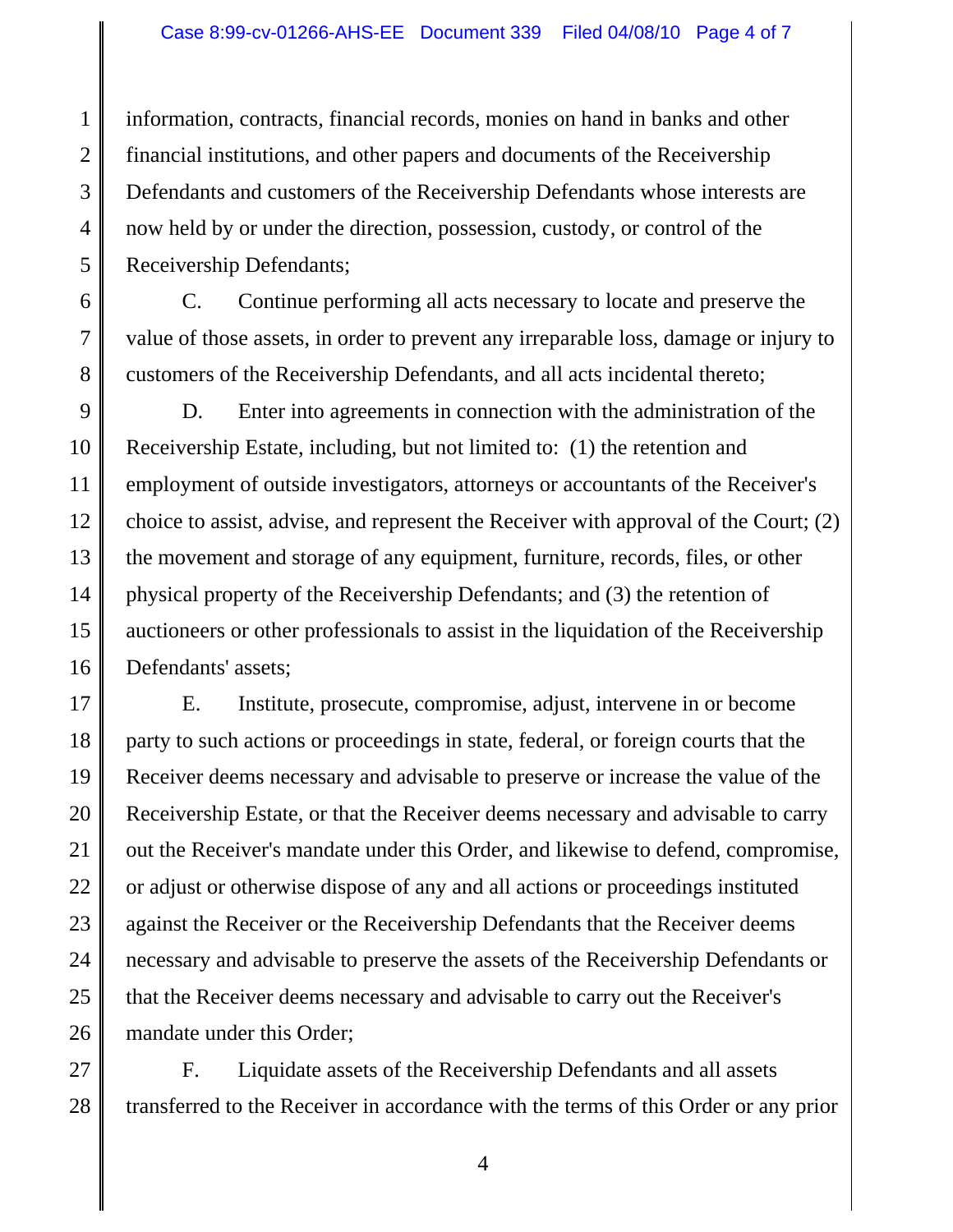2 3 4 5 information, contracts, financial records, monies on hand in banks and other financial institutions, and other papers and documents of the Receivership Defendants and customers of the Receivership Defendants whose interests are now held by or under the direction, possession, custody, or control of the Receivership Defendants;

1

6

7

8

C. Continue performing all acts necessary to locate and preserve the value of those assets, in order to prevent any irreparable loss, damage or injury to customers of the Receivership Defendants, and all acts incidental thereto;

9 10 11 12 13 14 15 16 D. Enter into agreements in connection with the administration of the Receivership Estate, including, but not limited to: (1) the retention and employment of outside investigators, attorneys or accountants of the Receiver's choice to assist, advise, and represent the Receiver with approval of the Court; (2) the movement and storage of any equipment, furniture, records, files, or other physical property of the Receivership Defendants; and (3) the retention of auctioneers or other professionals to assist in the liquidation of the Receivership Defendants' assets;

17 18 19 20 21 22 23 24 25 26 E. Institute, prosecute, compromise, adjust, intervene in or become party to such actions or proceedings in state, federal, or foreign courts that the Receiver deems necessary and advisable to preserve or increase the value of the Receivership Estate, or that the Receiver deems necessary and advisable to carry out the Receiver's mandate under this Order, and likewise to defend, compromise, or adjust or otherwise dispose of any and all actions or proceedings instituted against the Receiver or the Receivership Defendants that the Receiver deems necessary and advisable to preserve the assets of the Receivership Defendants or that the Receiver deems necessary and advisable to carry out the Receiver's mandate under this Order;

27 28 F. Liquidate assets of the Receivership Defendants and all assets transferred to the Receiver in accordance with the terms of this Order or any prior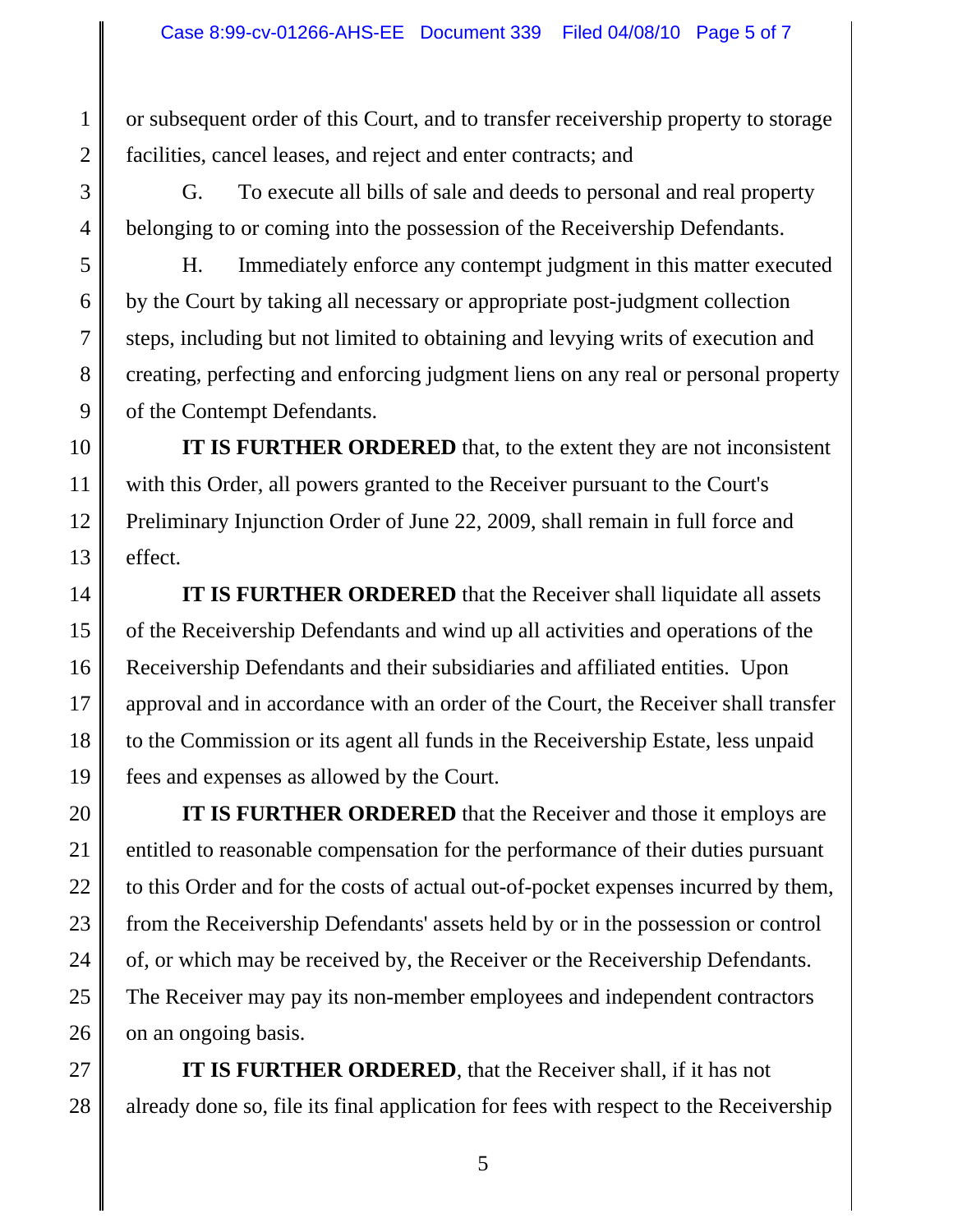or subsequent order of this Court, and to transfer receivership property to storage facilities, cancel leases, and reject and enter contracts; and

G. To execute all bills of sale and deeds to personal and real property belonging to or coming into the possession of the Receivership Defendants.

H. Immediately enforce any contempt judgment in this matter executed by the Court by taking all necessary or appropriate post-judgment collection steps, including but not limited to obtaining and levying writs of execution and creating, perfecting and enforcing judgment liens on any real or personal property of the Contempt Defendants.

**IT IS FURTHER ORDERED** that, to the extent they are not inconsistent with this Order, all powers granted to the Receiver pursuant to the Court's Preliminary Injunction Order of June 22, 2009, shall remain in full force and effect.

**IT IS FURTHER ORDERED** that the Receiver shall liquidate all assets of the Receivership Defendants and wind up all activities and operations of the Receivership Defendants and their subsidiaries and affiliated entities. Upon approval and in accordance with an order of the Court, the Receiver shall transfer to the Commission or its agent all funds in the Receivership Estate, less unpaid fees and expenses as allowed by the Court.

**IT IS FURTHER ORDERED** that the Receiver and those it employs are entitled to reasonable compensation for the performance of their duties pursuant to this Order and for the costs of actual out-of-pocket expenses incurred by them, from the Receivership Defendants' assets held by or in the possession or control of, or which may be received by, the Receiver or the Receivership Defendants. The Receiver may pay its non-member employees and independent contractors on an ongoing basis.

**IT IS FURTHER ORDERED**, that the Receiver shall, if it has not already done so, file its final application for fees with respect to the Receivership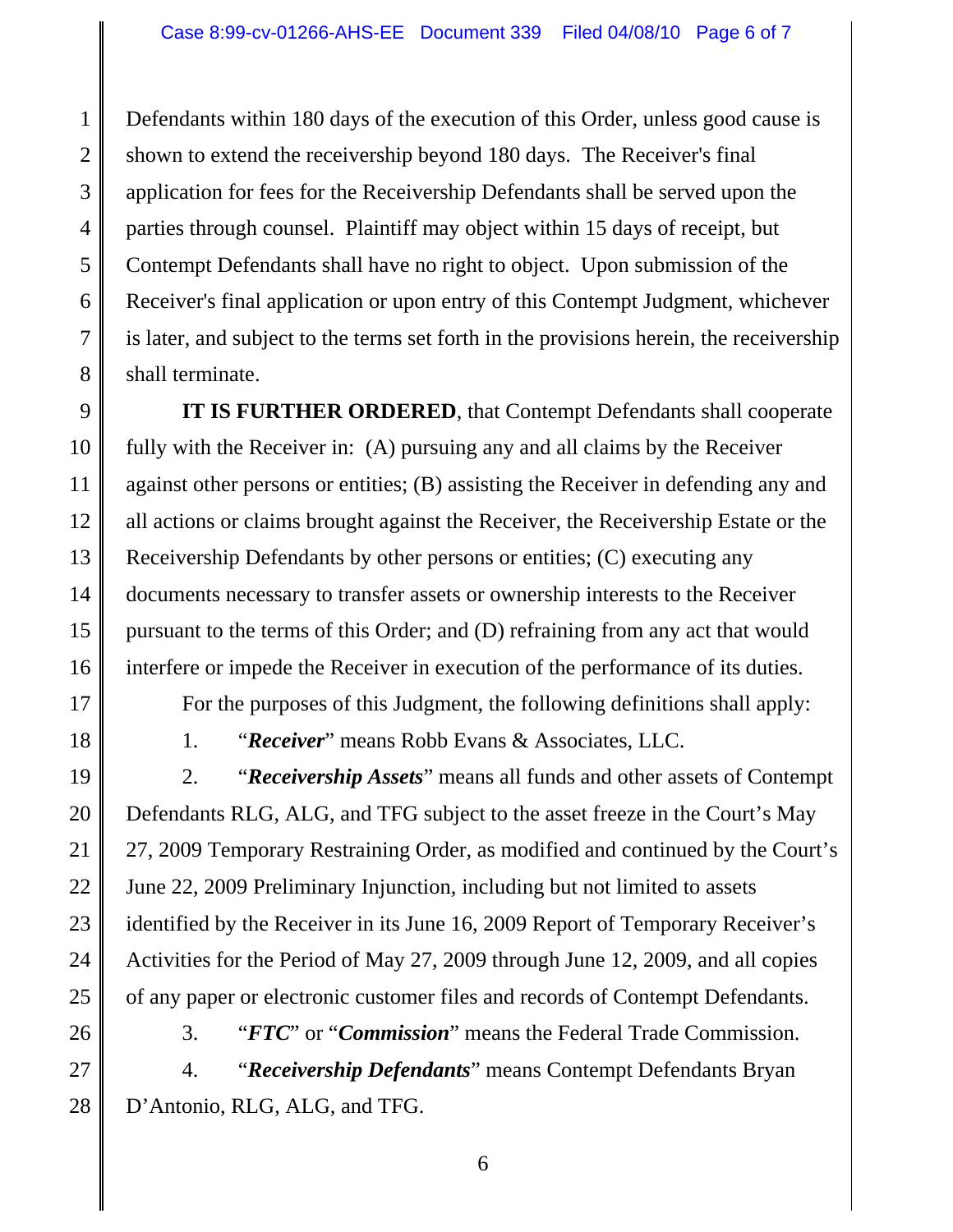6 7 Defendants within 180 days of the execution of this Order, unless good cause is shown to extend the receivership beyond 180 days. The Receiver's final application for fees for the Receivership Defendants shall be served upon the parties through counsel. Plaintiff may object within 15 days of receipt, but Contempt Defendants shall have no right to object. Upon submission of the Receiver's final application or upon entry of this Contempt Judgment, whichever is later, and subject to the terms set forth in the provisions herein, the receivership shall terminate.

9 10 12 13 14 15 16 **IT IS FURTHER ORDERED**, that Contempt Defendants shall cooperate fully with the Receiver in: (A) pursuing any and all claims by the Receiver against other persons or entities; (B) assisting the Receiver in defending any and all actions or claims brought against the Receiver, the Receivership Estate or the Receivership Defendants by other persons or entities; (C) executing any documents necessary to transfer assets or ownership interests to the Receiver pursuant to the terms of this Order; and (D) refraining from any act that would interfere or impede the Receiver in execution of the performance of its duties.

17

18

19

20

21

22

23

24

25

1

2

3

4

5

8

11

For the purposes of this Judgment, the following definitions shall apply:

1. "*Receiver*" means Robb Evans & Associates, LLC.

2. "*Receivership Assets*" means all funds and other assets of Contempt Defendants RLG, ALG, and TFG subject to the asset freeze in the Court's May 27, 2009 Temporary Restraining Order, as modified and continued by the Court's June 22, 2009 Preliminary Injunction, including but not limited to assets identified by the Receiver in its June 16, 2009 Report of Temporary Receiver's Activities for the Period of May 27, 2009 through June 12, 2009, and all copies of any paper or electronic customer files and records of Contempt Defendants.

- 
- 26 27

3. "*FTC*" or "*Commission*" means the Federal Trade Commission.

28 4. "*Receivership Defendants*" means Contempt Defendants Bryan D'Antonio, RLG, ALG, and TFG.